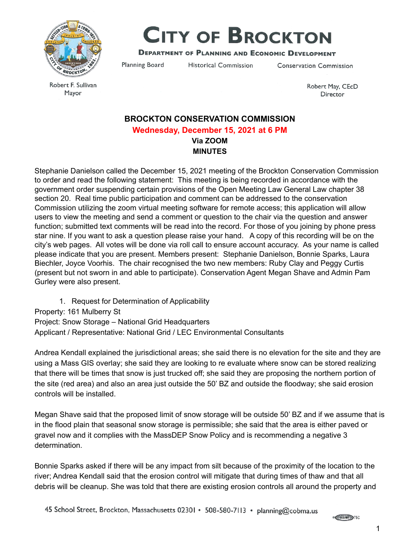

# **CITY OF BROCKTON**

#### **DEPARTMENT OF PLANNING AND ECONOMIC DEVELOPMENT**

**Planning Board** 

**Historical Commission** 

Conservation Commission

Robert F. Sullivan Mayor

Robert May, CEcD Director

# **BROCKTON CONSERVATION COMMISSION Wednesday, December 15, 2021 at 6 PM Via ZOOM MINUTES**

 Stephanie Danielson called the December 15, 2021 meeting of the Brockton Conservation Commission to order and read the following statement: This meeting is being recorded in accordance with the government order suspending certain provisions of the Open Meeting Law General Law chapter 38 section 20. Real time public participation and comment can be addressed to the conservation Commission utilizing the zoom virtual meeting software for remote access; this application will allow users to view the meeting and send a comment or question to the chair via the question and answer function; submitted text comments will be read into the record. For those of you joining by phone press star nine. If you want to ask a question please raise your hand. A copy of this recording will be on the city's web pages. All votes will be done via roll call to ensure account accuracy. As your name is called please indicate that you are present. Members present: Stephanie Danielson, Bonnie Sparks, Laura Biechler, Joyce Voorhis. The chair recognised the two new members: Ruby Clay and Peggy Curtis (present but not sworn in and able to participate). Conservation Agent Megan Shave and Admin Pam Gurley were also present.

1. Request for Determination of Applicability

Property: 161 Mulberry St

 Project: Snow Storage – National Grid Headquarters Applicant / Representative: National Grid / LEC Environmental Consultants

 Andrea Kendall explained the jurisdictional areas; she said there is no elevation for the site and they are using a Mass GIS overlay; she said they are looking to re evaluate where snow can be stored realizing that there will be times that snow is just trucked off; she said they are proposing the northern portion of the site (red area) and also an area just outside the 50' BZ and outside the floodway; she said erosion controls will be installed.

 Megan Shave said that the proposed limit of snow storage will be outside 50' BZ and if we assume that is in the flood plain that seasonal snow storage is permissible; she said that the area is either paved or gravel now and it complies with the MassDEP Snow Policy and is recommending a negative 3 determination.

 Bonnie Sparks asked if there will be any impact from silt because of the proximity of the location to the river; Andrea Kendall said that the erosion control will mitigate that during times of thaw and that all debris will be cleanup. She was told that there are existing erosion controls all around the property and

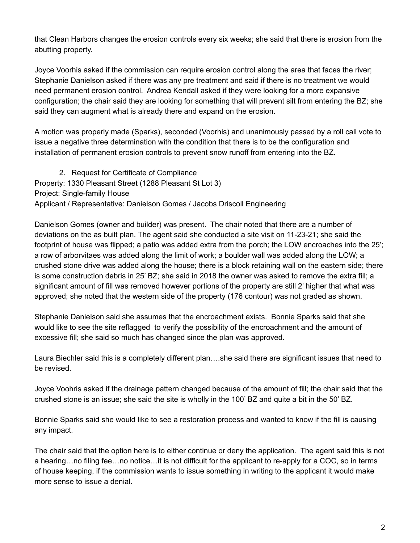that Clean Harbors changes the erosion controls every six weeks; she said that there is erosion from the abutting property.

 Joyce Voorhis asked if the commission can require erosion control along the area that faces the river; Stephanie Danielson asked if there was any pre treatment and said if there is no treatment we would need permanent erosion control. Andrea Kendall asked if they were looking for a more expansive configuration; the chair said they are looking for something that will prevent silt from entering the BZ; she said they can augment what is already there and expand on the erosion.

 A motion was properly made (Sparks), seconded (Voorhis) and unanimously passed by a roll call vote to issue a negative three determination with the condition that there is to be the configuration and installation of permanent erosion controls to prevent snow runoff from entering into the BZ.

 2. Request for Certificate of Compliance Property: 1330 Pleasant Street (1288 Pleasant St Lot 3) Applicant / Representative: Danielson Gomes / Jacobs Driscoll Engineering Project: Single-family House

 Danielson Gomes (owner and builder) was present. The chair noted that there are a number of deviations on the as built plan. The agent said she conducted a site visit on 11-23-21; she said the footprint of house was flipped; a patio was added extra from the porch; the LOW encroaches into the 25'; a row of arborvitaes was added along the limit of work; a boulder wall was added along the LOW; a crushed stone drive was added along the house; there is a block retaining wall on the eastern side; there is some construction debris in 25' BZ; she said in 2018 the owner was asked to remove the extra fill; a significant amount of fill was removed however portions of the property are still 2' higher that what was approved; she noted that the western side of the property (176 contour) was not graded as shown.

 Stephanie Danielson said she assumes that the encroachment exists. Bonnie Sparks said that she would like to see the site reflagged to verify the possibility of the encroachment and the amount of excessive fill; she said so much has changed since the plan was approved.

 Laura Biechler said this is a completely different plan….she said there are significant issues that need to be revised.

 Joyce Voohris asked if the drainage pattern changed because of the amount of fill; the chair said that the crushed stone is an issue; she said the site is wholly in the 100' BZ and quite a bit in the 50' BZ.

 Bonnie Sparks said she would like to see a restoration process and wanted to know if the fill is causing any impact.

 The chair said that the option here is to either continue or deny the application. The agent said this is not a hearing…no filing fee…no notice…it is not difficult for the applicant to re-apply for a COC, so in terms of house keeping, if the commission wants to issue something in writing to the applicant it would make more sense to issue a denial.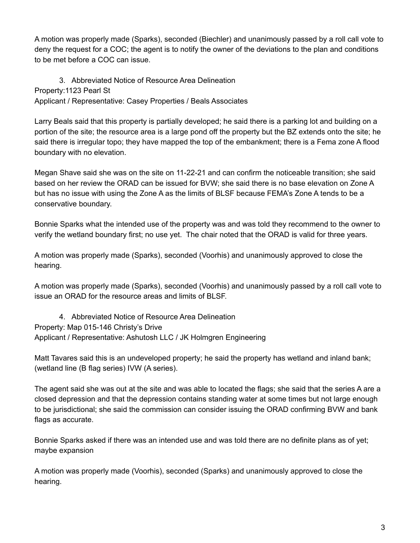A motion was properly made (Sparks), seconded (Biechler) and unanimously passed by a roll call vote to deny the request for a COC; the agent is to notify the owner of the deviations to the plan and conditions to be met before a COC can issue.

 3. Abbreviated Notice of Resource Area Delineation Property:1123 Pearl St Applicant / Representative: Casey Properties / Beals Associates

 Larry Beals said that this property is partially developed; he said there is a parking lot and building on a portion of the site; the resource area is a large pond off the property but the BZ extends onto the site; he said there is irregular topo; they have mapped the top of the embankment; there is a Fema zone A flood boundary with no elevation.

 Megan Shave said she was on the site on 11-22-21 and can confirm the noticeable transition; she said based on her review the ORAD can be issued for BVW; she said there is no base elevation on Zone A but has no issue with using the Zone A as the limits of BLSF because FEMA's Zone A tends to be a conservative boundary.

 Bonnie Sparks what the intended use of the property was and was told they recommend to the owner to verify the wetland boundary first; no use yet. The chair noted that the ORAD is valid for three years.

 A motion was properly made (Sparks), seconded (Voorhis) and unanimously approved to close the hearing.

 A motion was properly made (Sparks), seconded (Voorhis) and unanimously passed by a roll call vote to issue an ORAD for the resource areas and limits of BLSF.

 4. Abbreviated Notice of Resource Area Delineation Property: Map 015-146 Christy's Drive Applicant / Representative: Ashutosh LLC / JK Holmgren Engineering

 Matt Tavares said this is an undeveloped property; he said the property has wetland and inland bank; (wetland line (B flag series) IVW (A series).

 The agent said she was out at the site and was able to located the flags; she said that the series A are a closed depression and that the depression contains standing water at some times but not large enough to be jurisdictional; she said the commission can consider issuing the ORAD confirming BVW and bank flags as accurate.

 Bonnie Sparks asked if there was an intended use and was told there are no definite plans as of yet; maybe expansion

 A motion was properly made (Voorhis), seconded (Sparks) and unanimously approved to close the hearing.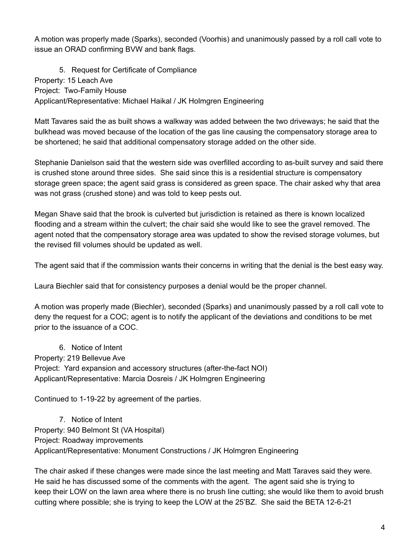A motion was properly made (Sparks), seconded (Voorhis) and unanimously passed by a roll call vote to issue an ORAD confirming BVW and bank flags.

 5. Request for Certificate of Compliance Property: 15 Leach Ave Project: Two-Family House Applicant/Representative: Michael Haikal / JK Holmgren Engineering

 Matt Tavares said the as built shows a walkway was added between the two driveways; he said that the bulkhead was moved because of the location of the gas line causing the compensatory storage area to be shortened; he said that additional compensatory storage added on the other side.

 Stephanie Danielson said that the western side was overfilled according to as-built survey and said there is crushed stone around three sides. She said since this is a residential structure is compensatory storage green space; the agent said grass is considered as green space. The chair asked why that area was not grass (crushed stone) and was told to keep pests out.

 Megan Shave said that the brook is culverted but jurisdiction is retained as there is known localized flooding and a stream within the culvert; the chair said she would like to see the gravel removed. The agent noted that the compensatory storage area was updated to show the revised storage volumes, but the revised fill volumes should be updated as well.

The agent said that if the commission wants their concerns in writing that the denial is the best easy way.

Laura Biechler said that for consistency purposes a denial would be the proper channel.

 A motion was properly made (Biechler), seconded (Sparks) and unanimously passed by a roll call vote to deny the request for a COC; agent is to notify the applicant of the deviations and conditions to be met prior to the issuance of a COC.

 6. Notice of Intent Property: 219 Bellevue Ave Project: Yard expansion and accessory structures (after-the-fact NOI) Applicant/Representative: Marcia Dosreis / JK Holmgren Engineering

Continued to 1-19-22 by agreement of the parties.

 7. Notice of Intent Property: 940 Belmont St (VA Hospital) Project: Roadway improvements Applicant/Representative: Monument Constructions / JK Holmgren Engineering

 The chair asked if these changes were made since the last meeting and Matt Taraves said they were. He said he has discussed some of the comments with the agent. The agent said she is trying to keep their LOW on the lawn area where there is no brush line cutting; she would like them to avoid brush cutting where possible; she is trying to keep the LOW at the 25'BZ. She said the BETA 12-6-21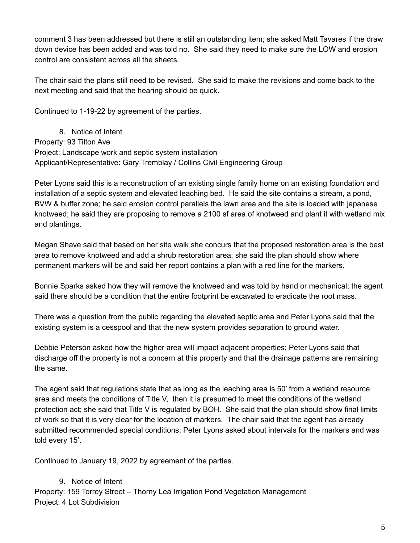comment 3 has been addressed but there is still an outstanding item; she asked Matt Tavares if the draw down device has been added and was told no. She said they need to make sure the LOW and erosion control are consistent across all the sheets.

 The chair said the plans still need to be revised. She said to make the revisions and come back to the next meeting and said that the hearing should be quick.

Continued to 1-19-22 by agreement of the parties.

 8. Notice of Intent Property: 93 Tilton Ave Project: Landscape work and septic system installation Applicant/Representative: Gary Tremblay / Collins Civil Engineering Group

 Peter Lyons said this is a reconstruction of an existing single family home on an existing foundation and installation of a septic system and elevated leaching bed. He said the site contains a stream, a pond, BVW & buffer zone; he said erosion control parallels the lawn area and the site is loaded with japanese knotweed; he said they are proposing to remove a 2100 sf area of knotweed and plant it with wetland mix and plantings.

 Megan Shave said that based on her site walk she concurs that the proposed restoration area is the best area to remove knotweed and add a shrub restoration area; she said the plan should show where permanent markers will be and said her report contains a plan with a red line for the markers.

 Bonnie Sparks asked how they will remove the knotweed and was told by hand or mechanical; the agent said there should be a condition that the entire footprint be excavated to eradicate the root mass.

 There was a question from the public regarding the elevated septic area and Peter Lyons said that the existing system is a cesspool and that the new system provides separation to ground water.

 Debbie Peterson asked how the higher area will impact adjacent properties; Peter Lyons said that discharge off the property is not a concern at this property and that the drainage patterns are remaining the same.

 The agent said that regulations state that as long as the leaching area is 50' from a wetland resource area and meets the conditions of Title V, then it is presumed to meet the conditions of the wetland protection act; she said that Title V is regulated by BOH. She said that the plan should show final limits of work so that it is very clear for the location of markers. The chair said that the agent has already submitted recommended special conditions; Peter Lyons asked about intervals for the markers and was told every 15'.

Continued to January 19, 2022 by agreement of the parties.

# 9. Notice of Intent

 Property: 159 Torrey Street – Thorny Lea Irrigation Pond Vegetation Management Project: 4 Lot Subdivision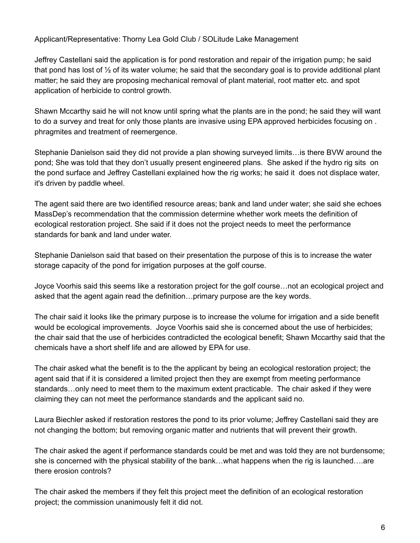#### Applicant/Representative: Thorny Lea Gold Club / SOLitude Lake Management

 Jeffrey Castellani said the application is for pond restoration and repair of the irrigation pump; he said that pond has lost of ½ of its water volume; he said that the secondary goal is to provide additional plant matter; he said they are proposing mechanical removal of plant material, root matter etc. and spot application of herbicide to control growth.

 Shawn Mccarthy said he will not know until spring what the plants are in the pond; he said they will want to do a survey and treat for only those plants are invasive using EPA approved herbicides focusing on . phragmites and treatment of reemergence.

 Stephanie Danielson said they did not provide a plan showing surveyed limits…is there BVW around the pond; She was told that they don't usually present engineered plans. She asked if the hydro rig sits on the pond surface and Jeffrey Castellani explained how the rig works; he said it does not displace water, it's driven by paddle wheel.

 The agent said there are two identified resource areas; bank and land under water; she said she echoes MassDep's recommendation that the commission determine whether work meets the definition of ecological restoration project. She said if it does not the project needs to meet the performance standards for bank and land under water.

 Stephanie Danielson said that based on their presentation the purpose of this is to increase the water storage capacity of the pond for irrigation purposes at the golf course.

 Joyce Voorhis said this seems like a restoration project for the golf course…not an ecological project and asked that the agent again read the definition…primary purpose are the key words.

 The chair said it looks like the primary purpose is to increase the volume for irrigation and a side benefit would be ecological improvements. Joyce Voorhis said she is concerned about the use of herbicides; the chair said that the use of herbicides contradicted the ecological benefit; Shawn Mccarthy said that the chemicals have a short shelf life and are allowed by EPA for use.

 The chair asked what the benefit is to the the applicant by being an ecological restoration project; the agent said that if it is considered a limited project then they are exempt from meeting performance standards…only need to meet them to the maximum extent practicable. The chair asked if they were claiming they can not meet the performance standards and the applicant said no.

 Laura Biechler asked if restoration restores the pond to its prior volume; Jeffrey Castellani said they are not changing the bottom; but removing organic matter and nutrients that will prevent their growth.

 The chair asked the agent if performance standards could be met and was told they are not burdensome; she is concerned with the physical stability of the bank…what happens when the rig is launched….are there erosion controls?

 The chair asked the members if they felt this project meet the definition of an ecological restoration project; the commission unanimously felt it did not.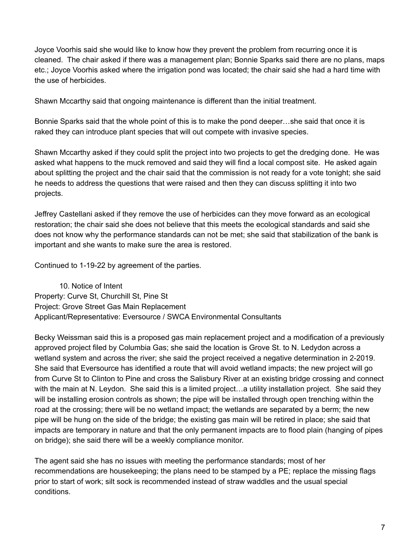Joyce Voorhis said she would like to know how they prevent the problem from recurring once it is cleaned. The chair asked if there was a management plan; Bonnie Sparks said there are no plans, maps etc.; Joyce Voorhis asked where the irrigation pond was located; the chair said she had a hard time with the use of herbicides.

Shawn Mccarthy said that ongoing maintenance is different than the initial treatment.

 Bonnie Sparks said that the whole point of this is to make the pond deeper…she said that once it is raked they can introduce plant species that will out compete with invasive species.

 Shawn Mccarthy asked if they could split the project into two projects to get the dredging done. He was asked what happens to the muck removed and said they will find a local compost site. He asked again about splitting the project and the chair said that the commission is not ready for a vote tonight; she said he needs to address the questions that were raised and then they can discuss splitting it into two projects.

 Jeffrey Castellani asked if they remove the use of herbicides can they move forward as an ecological restoration; the chair said she does not believe that this meets the ecological standards and said she does not know why the performance standards can not be met; she said that stabilization of the bank is important and she wants to make sure the area is restored.

Continued to 1-19-22 by agreement of the parties.

 10. Notice of Intent Property: Curve St, Churchill St, Pine St Project: Grove Street Gas Main Replacement Applicant/Representative: Eversource / SWCA Environmental Consultants

 Becky Weissman said this is a proposed gas main replacement project and a modification of a previously approved project filed by Columbia Gas; she said the location is Grove St. to N. Ledydon across a wetland system and across the river; she said the project received a negative determination in 2-2019. She said that Eversource has identified a route that will avoid wetland impacts; the new project will go from Curve St to Clinton to Pine and cross the Salisbury River at an existing bridge crossing and connect with the main at N. Leydon. She said this is a limited project…a utility installation project. She said they will be installing erosion controls as shown; the pipe will be installed through open trenching within the road at the crossing; there will be no wetland impact; the wetlands are separated by a berm; the new pipe will be hung on the side of the bridge; the existing gas main will be retired in place; she said that impacts are temporary in nature and that the only permanent impacts are to flood plain (hanging of pipes on bridge); she said there will be a weekly compliance monitor.

 The agent said she has no issues with meeting the performance standards; most of her recommendations are housekeeping; the plans need to be stamped by a PE; replace the missing flags prior to start of work; silt sock is recommended instead of straw waddles and the usual special conditions.